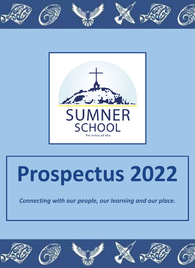



# **Prospectus 2022**

*Connecting with our people, our learning and our place.* 

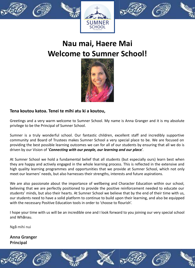







# **Nau mai, Haere Mai Welcome to Sumner School!**



## **Tena koutou katoa. Tenei te mihi atu ki a koutou,**

Greetings and a very warm welcome to Sumner School. My name is Anna Granger and it is my absolute privilege to be the Principal of Sumner School.

Sumner is a truly wonderful school. Our fantastic children, excellent staff and incredibly supportive community and Board of Trustees makes Sumner School a very special place to be. We are focused on providing the best possible learning outcomes we can for all of our students by ensuring that all we do is driven by our Vision of '*Connecting with our people, our learning and our pla***ce**'.

At Sumner School we hold a fundamental belief that all students (but especially ours) learn best when they are happy and actively engaged in the whole learning process. This is reflected in the extensive and high quality learning programmes and opportunities that we provide at Sumner School, which not only meet our learners' needs, but also harnesses their strengths, interests and future aspirations.

We are also passionate about the importance of wellbeing and Character Education within our school, believing that we are perfectly positioned to provide the positive reinforcement needed to educate our students' minds, but also their hearts. At Sumner School we believe that by the end of their time with us, our students need to have a solid platform to continue to build upon their learning, and also be equipped with the necessary Positive Education tools in order to 'choose to flourish'.

I hope your time with us will be an incredible one and I look forward to you joining our very special school and Whānau.

Ngā mihi nui

**Anna Granger Principal**

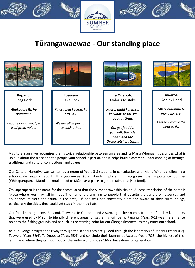







# **Tūrangawaewae - Our standing place**

|                                               | T 7                                    |                                                                                   |                                      |
|-----------------------------------------------|----------------------------------------|-----------------------------------------------------------------------------------|--------------------------------------|
| Rapanui<br>Shag Rock                          | <b>Tuawera</b><br>Cave Rock            | <b>Te Onepoto</b><br>Taylor's Mistake                                             | Awaroa<br><b>Godley Head</b>         |
| Ahakoa he iti, he<br>pounamu.                 | Ka ora pea i a koe, ka<br>ora i au.    | Haere, mahi kai māu,<br>ka whati te tai, ka<br>pao te tõrea.                      | Mā te huruhuru te<br>manu ka rere.   |
| Despite being small, it<br>is of great value. | We are all important<br>to each other. | Go, get food for<br>yourself; the tide<br>ebbs, and the<br>Oystercatcher strikes. | Feathers enable the<br>birds to fly. |

A cultural narrative recognises the historical relationship between an area and its Mana Whenua. It describes what is unique about the place and the people your school is part of, and it helps build a common understanding of heritage, traditional and cultural connections, and values.

Our Cultural Narrative was written by a group of Years 3-8 students in consultation with Mana Whenua following a school-wide inquiry about Tūrangawaewae (our standing place). It recognises the importance Sumner (Ōhikaparuparu - Matuku takotako) had to Māori as a place to gather kaimoana (sea food).

Ōhikaparuparu is the name for the coastal area that the Sumner township sits on. A loose translation of the name is 'place where you may fall in mud'. The name is a warning to people that despite the variety of resources and abundance of flora and fauna in the area, if one was not constantly alert and aware of their surroundings, particularly the tides, they could get stuck in the mud flats.

Our four learning teams, Rapanui, Tuawera, Te Onepoto and Awaroa get their names from the four key landmarks that were used by Māori to identify different areas for gathering kaimoana. Rapanui (Years 0-2) was the entrance point to the fishing grounds and as such is the starting point for our ākonga (learners) as they enter our school.

As our ākonga navigate their way through the school they are guided through the landmarks of Rapanui (Years 0-2), Tuawera (Years 3&4), Te Onepoto (Years 5&6) and conclude their journey at Awaroa (Years 7&8) the highest of the landmarks where they can look out on the wider world just as Māori have done for generations.

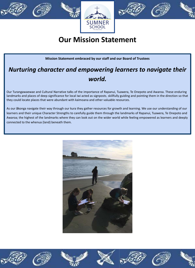





# **Our Mission Statement**

## **Mission Statement embraced by our staff and our Board of Trustees**

## *Nurturing character and empowering learners to navigate their world.*

Our Turangawaewae and Cultural Narrative talks of the importance of Rapanui, Tuawera, Te Onepoto and Awaroa. These enduring landmarks and places of deep significance for local iwi acted as signposts, skillfully guiding and pointing them in the direction so that they could locate places that were abundant with kaimoana and other valuable resources.

As our ākonga navigate their way through our kura they gather resources for growth and learning. We use our understanding of our learners and their unique Character Strengths to carefully guide them through the landmarks of Rapanui, Tuawera, Te Onepoto and Awaroa; the highest of the landmarks where they can look out on the wider world while feeling empowered as learners and deeply connected to the whenua (land) beneath them.



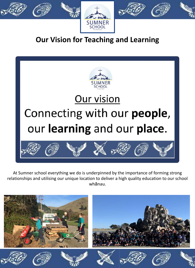





# **Our Vision for Teaching and Learning**



At Sumner school everything we do is underpinned by the importance of forming strong relationships and utilising our unique location to deliver a high quality education to our school whānau.

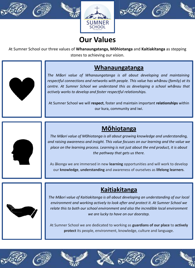







# **Our Values**

At Sumner School our three values of **Whanaungatanga, Mōhiotanga** and **Kaitiakitanga** as stepping stones to achieving our vision.



**Whanaungatanga**

*The Māori value of Whanaungatanga is all about developing and maintaining respectful connections and networks with people. This value has whānau (family) at its centre. At Sumner School we understand this as developing a school whānau that actively works to develop and foster respectful relationships.* 

At Sumner School we will **respect**, foster and maintain important **relationships** within our kura, community and iwi.

## **Mōhiotanga**



*The Māori value of Mōhiotanga is all about growing knowledge and understanding, and raising awareness and insight. This value focuses on our learning and the value we place on the learning process. Learning is not just about the end product, it is about the pathway that gets us there.* 

As ākonga we are immersed in new **learning** opportunities and will work to develop our **knowledge**, **understanding** and awareness of ourselves as **lifelong learners**.



**Kaitiakitanga**

*The Māori value of Kaitiakitanga is all about developing an understanding of our local environment and working actively to look after and protect it. At Sumner School we relate this to both our school environment and also the incredible local environment we are lucky to have on our doorstep.* 

At Sumner School we are dedicated to working as **guardians of our place** to **actively protect** its people, environment, knowledge, culture and language.











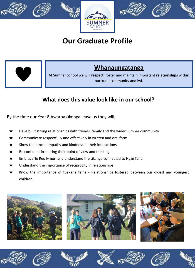







# **Our Graduate Profile**



## **Whanaungatanga**

At Sumner School we will **respect**, foster and maintain important **relationships** within our kura, community and iwi.

## **What does this value look like in our school?**

By the time our Year 8 Awaroa ākonga leave us they will;

- $\bigstar$  Have built strong relationships with friends, family and the wider Sumner community
- $\star$  Communicate respectfully and effectively in written and oral form
- $\star$  Show tolerance, empathy and kindness in their interactions
- $\star$  Be confident in sharing their point of view and thinking
- ★ Embrace Te Reo Māori and understand the tikanga connected to Ngāi Tahu
- $\bigstar$  Understand the importance of reciprocity in relationships
- Know the importance of tuakana teina Relationships fostered between our oldest and youngest children.







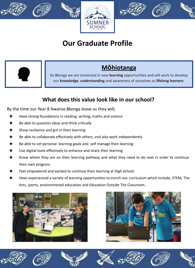







# **Our Graduate Profile**



## **Mōhiotanga**

As ākonga we are immersed in new **learning** opportunities and will work to develop our **knowledge**, **understanding** and awareness of ourselves as **lifelong learners**.

## **What does this value look like in our school?**

By the time our Year 8 Awaroa ākonga leave us they will;

- ★ Have strong foundations in reading, writing, maths and science
- $\bigstar$  Be able to question ideas and think critically
- $\star$  Show resilience and grit in their learning
- $\bigstar$  Be able to collaborate effectively with others, and also work independently
- $\star$  Be able to set personal learning goals and self manage their learning
- $\star$  Use digital tools effectively to enhance and share their learning
- $\bigstar$  Know where they are on their learning pathway and what they need to do next in order to continue their own progress
- Feel empowered and excited to continue their learning at High School.
- Have experienced a variety of learning opportunities to enrich our curriculum which include, STEM, The Arts, sports, environmental education and Education Outside The Classroom.





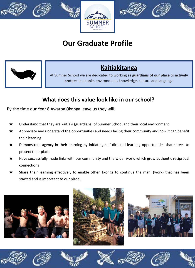







# **Our Graduate Profile**



## **Kaitiakitanga**

At Sumner School we are dedicated to working as **guardians of our place** to **actively protect** its people, environment, knowledge, culture and language

## **What does this value look like in our school?**

By the time our Year 8 Awaroa ākonga leave us they will;

- ★ Understand that they are kaitiaki (guardians) of Sumner School and their local environment
- $\star$  Appreciate and understand the opportunities and needs facing their community and how it can benefit their learning
- ★ Demonstrate agency in their learning by initiating self directed learning opportunities that serves to protect their place
- ★ Have successfully made links with our community and the wider world which grow authentic reciprocal connections
- Share their learning effectively to enable other ākonga to continue the mahi (work) that has been started and is important to our place.







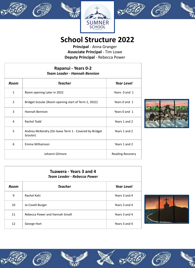







# **School Structure 2022**

**Principal** - Anna Granger **Associate Principal** - Tim Lowe **Deputy Principal** - Rebecca Power

| Rapanui - Years 0-2<br><b>Team Leader - Hannah Bennion</b> |                                                                   |                         |
|------------------------------------------------------------|-------------------------------------------------------------------|-------------------------|
| Room                                                       | Teacher                                                           | <b>Year Level</b>       |
| $\mathbf{1}$                                               | Room opening Later in 2022                                        | Years 0 and 1           |
| $\overline{2}$                                             | Bridget Scoular (Room opening start of Term 2, 2022)              | Years 0 and 1           |
| 3                                                          | Hannah Bennion                                                    | Years 0 and 1           |
| 4                                                          | Rachel Todd                                                       | Years 1 and 2           |
| 5                                                          | Andrea McKendry (On leave Term 1 - Covered by Bridget<br>Scoular) | Years 1 and 2           |
| 6                                                          | Emma Williamson                                                   | Years 1 and 2           |
|                                                            | Johanni Gilmore                                                   | <b>Reading Recovery</b> |



| Tuawera - Years 3 and 4<br><b>Team Leader - Rebecca Power</b> |                                 |                   |
|---------------------------------------------------------------|---------------------------------|-------------------|
| Room                                                          | <b>Teacher</b>                  | <b>Year Level</b> |
| 9                                                             | Rachel Kahi                     | Years 3 and 4     |
| 10                                                            | Jo Covell-Burger                | Years 3 and 4     |
| 11                                                            | Rebecca Power and Hannah Smaill | Years 3 and 4     |
| 12                                                            | George Hart                     | Years 3 and 4     |















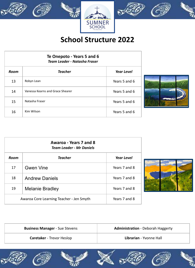



# **School Structure 2022**

| Te Onepoto - Years 5 and 6<br>Team Leader - Natasha Fraser |                                  |                   |
|------------------------------------------------------------|----------------------------------|-------------------|
| Room                                                       | Teacher                          | <b>Year Level</b> |
| 13                                                         | Robyn Lean                       | Years 5 and 6     |
| 14                                                         | Vanessa Kearns and Grace Shearer | Years 5 and 6     |
| 15                                                         | Natasha Fraser                   | Years 5 and 6     |
| 16                                                         | Kim Wilson                       | Years 5 and 6     |



| Awaroa - Years 7 and 8<br><b>Team Leader - Mr Daniels</b> |                       |                   |
|-----------------------------------------------------------|-----------------------|-------------------|
| Room                                                      | <b>Teacher</b>        | <b>Year Level</b> |
| 17                                                        | <b>Gwen Vine</b>      | Years 7 and 8     |
| 18                                                        | <b>Andrew Daniels</b> | Years 7 and 8     |
| 19<br>Melanie Bradley                                     |                       | Years 7 and 8     |
| Awaroa Core Learning Teacher - Jen Smyth                  |                       | Years 7 and 8     |



| <b>Business Manager - Sue Stevens</b> | <b>Administration</b> - Deborah Haggerty |
|---------------------------------------|------------------------------------------|
| <b>Caretaker</b> - Trevor Heslop      | Librarian - Yvonne Hall                  |

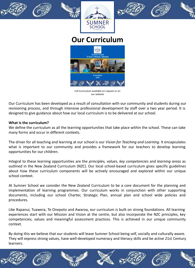







## **Our Curriculum**



Full Curriculum available on request or on our website

Our Curriculum has been developed as a result of consultation with our community and students during our revisioning process, and through intensive professional development by staff over a two year period. It is designed to give guidance about how our local curriculum is to be delivered at our school.

## **What is the curriculum?**

We define the curriculum as all the learning opportunities that take place within the school. These can take many forms and occur in different contexts.

The driver for all teaching and learning at our school is our *Vision for Teaching and Learning.* It encapsulates what is important to our community and provides a framework for our teachers to develop learning opportunities for our children.

Integral to these learning opportunities are the *principles, values, key competencies* and *learning areas* as outlined in the New Zealand Curriculum (NZC). Our local school-based curriculum gives specific guidelines about how these curriculum components will be actively encouraged and explored within our unique school context.

At Sumner School we consider the New Zealand Curriculum to be a core document for the planning and implementation of learning programmes. Our curriculum works in conjunction with other supporting documents, including our school Charter, Strategic Plan, annual plan and school wide policies and procedures.

Like Rapanui, Tuawera, Te Onepoto and Awaroa, our curriculum is built on strong foundations. All learning experiences start with our Mission and Vision at the centre, but also incorporate the NZC principles, key competencies, values and meaningful assessment practices. This is achieved in our unique community context.

By doing this we believe that our students will leave Sumner School being self, socially and culturally aware. They will express strong values, have well-developed numeracy and literacy skills and be active 21st Century learners.

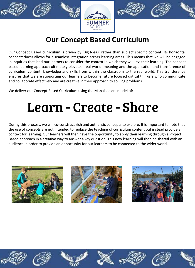







# **Our Concept Based Curriculum**

Our Concept Based curriculum is driven by 'Big Ideas' rather than subject specific content. Its horizontal connectedness allows for a seamless integration across learning areas. This means that we will be engaged in inquiries that lead our learners to consider the context in which they will *use* their learning. The concept based learning approach ultimately elevates 'real world' meaning and the application and transference of curriculum content, knowledge and skills from within the classroom to the real world. This transference ensures that we are supporting our learners to become future focused critical thinkers who communicate and collaborate effectively and are creative in their approach to solving problems.

We deliver our Concept Based Curriculum using the Manaiakalani model of:

# Learn - Create - Share

During this process, we will co-construct rich and authentic concepts to explore. It is important to note that the use of concepts are not intended to replace the teaching of curriculum content but instead provide a context for learning. Our learners will then have the opportunity to apply their learning through a Project Based approach in a **creative** way to answer a key question. This new learning will then be **shared** with an audience in order to provide an opportunity for our learners to be connected to the wider world.



















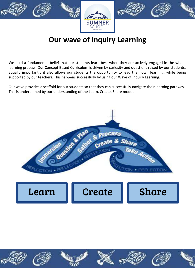







# **Our wave of Inquiry Learning**

We hold a fundamental belief that our students learn best when they are actively engaged in the whole learning process. Our Concept Based Curriculum is driven by curiosity and questions raised by our students. Equally importantly it also allows our students the opportunity to lead their own learning, while being supported by our teachers. This happens successfully by using our Wave of Inquiry Learning.

Our wave provides a scaffold for our students so that they can successfully navigate their learning pathway. This is underpinned by our understanding of the Learn, Create, Share model.

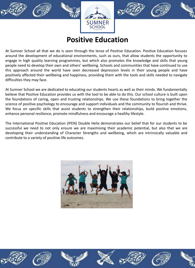







# **Positive Education**

At Sumner School all that we do is seen through the lense of Positive Education. Positive Education focuses around the development of educational environments, such as ours, that allow students the opportunity to engage in high quality learning programmes, but which also promotes the knowledge and skills that young people need to develop their own and others' wellbeing. Schools and communities that have continued to use this approach around the world have seen decreased depression levels in their young people and have positively affected their wellbeing and happiness, providing them with the tools and skills needed to navigate difficulties they may face.

At Sumner School we are dedicated to educating our students hearts as well as their minds. We fundamentally believe that Positive Education provides us with the tool to be able to do this. Our school culture is built upon the foundations of caring, open and trusting relationships. We use these foundations to bring together the science of positive psychology to encourage and support individuals and the community to flourish and thrive. We focus on specific skills that assist students to strengthen their relationships, build positive emotions, enhance personal resilience, promote mindfulness and encourage a healthy lifestyle.

The International Positive Education (IPEN) Double Helix demonstrates our belief that for our students to be successful we need to not only ensure we are maximising their academic potential, but also that we are developing their understanding of Character Strengths and wellbeing, which are intrinsically valuable and contribute to a variety of positive life outcomes.















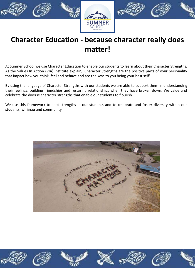

# **Character Education - because character really does matter!**

At Sumner School we use Character Education to enable our students to learn about their Character Strengths. As the Values In Action (VIA) Institute explain, 'Character Strengths are the positive parts of your personality that impact how you think, feel and behave and are the keys to you being your best self'.

By using the language of Character Strengths with our students we are able to support them in understanding their feelings, building friendships and restoring relationships when they have broken down. We value and celebrate the diverse character strengths that enable our students to flourish.

We use this framework to spot strengths in our students and to celebrate and foster diversity within our students, whānau and community.



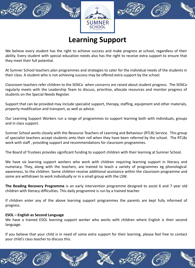







# **Learning Support**

We believe every student has the right to achieve success and make progress at school, regardless of their ability. Every student with special education needs also has the right to receive extra support to ensure that they meet their full potential.

At Sumner School teachers plan programmes and strategies to cater for the individual needs of the students in their class. A student who is not achieving success may be offered extra support by the school.

Classroom teachers refer children to the SENCo when concerns are raised about student progress. The SENCo regularly meets with the Leadership Team to discuss, prioritise, allocate resources and monitor progress of students on the Special Needs Register.

Support that can be provided may include specialist support, therapy, staffing, equipment and other materials, property modification and transport, as well as advice.

Our Learning Support Workers run a range of programmes to support learning both with individuals, groups and in class support.

Sumner School works closely with the Resource Teachers of Learning and Behaviour (RTLB) Service. This group of specialist teachers accept students onto their roll when they have been referred by the school. The RTLBs work with staff , providing support and recommendations for classroom programmes.

The Board of Trustees provides significant funding to support children with their learning at Sumner School.

We have six learning support workers who work with children requiring learning support in literacy and numeracy. They, along with the teachers, are trained to teach a variety of programmes eg phonological awareness, to the children. Some children receive additional assistance within the classroom programme and some are withdrawn to work individually or in a small group with the LSW.

**The Reading Recovery Programme** is an early intervention programme designed to assist 6 and 7 year old children with literacy difficulties. This daily programme is run by a trained teacher.

If children enter any of the above learning support programmes the parents are kept fully informed of progress.

## **ESOL – English as Second Language**

We have a trained ESOL learning support worker who works with children where English is their second language.

If you believe that your child is in need of some extra support for their learning, please feel free to contact your child's class teacher to discuss this.

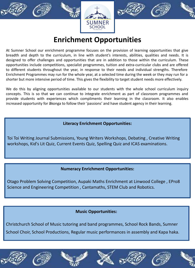







# **Enrichment Opportunities**

At Sumner School our enrichment programme focuses on the provision of learning opportunities that give breadth and depth to the curriculum, in line with student's interests, abilities, qualities and needs. It is designed to offer challenges and opportunities that are in addition to those within the curriculum. These opportunities include competitions, specialist programmes, tuition and extra-curricular clubs and are offered to different students throughout the year, in response to their needs and individual strengths. Therefore Enrichment Programmes may run for the whole year, at a selected time during the week or they may run for a shorter but more intensive period of time. This gives the flexibility to target student needs more effectively.

We do this by aligning opportunities available to our students with the whole school curriculum inquiry concepts. This is so that we can continue to integrate enrichment as part of classroom programmes and provide students with experiences which compliments their learning in the classroom. It also enables increased opportunity for ākonga to follow their 'passions' and have student agency in their learning.

## **Literacy Enrichment Opportunities:**

Toi Toi Writing Journal Submissions, Young Writers Workshops, Debating , Creative Writing workshops, Kid's Lit Quiz, Current Events Quiz, Spelling Quiz and ICAS examinations.

## **Numeracy Enrichment Opportunities:**

Otago Problem Solving Competition, Aupaki Maths Enrichment at Linwood College , EPro8 Science and Engineering Competition , Cantamaths, STEM Club and Robotics.

## **Music Opportunities:**

Christchurch School of Music tutoring and band programmes, School Rock Bands, Sumner School Choir, School Productions, Regular music performances in assembly and Kapa haka.



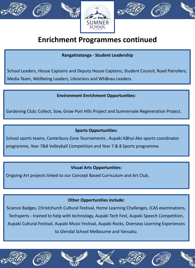







# **Enrichment Programmes continued**

**Rangatiratanga - Student Leadership** 

School Leaders, House Captains and Deputy House Captains, Student Council, Road Patrollers, Media Team, Wellbeing Leaders, Librarians and Whānau Leaders.

## **Environment Enrichment Opportunities:**

Gardening Club; Collect, Sow, Grow Port Hills Project and Sumnervale Regeneration Project.

## **Sports Opportunities:**

School sports teams, Canterbury Zone Tournaments , Aupaki Kāhui Ako sports coordinator

programme, Year 7&8 Volleyball Competition and Year 7 & 8 Sports programme.

## **Visual Arts Opportunities:**

Ongoing Art projects linked to our Concept Based Curriculum and Art Club.

## **Other Opportunities include:**

Science Badges, Christchurch Cultural Festival, Home Learning Challenges, ICAS examinations, Techsperts - trained to help with technology, Aupaki Tech Fest, Aupaki Speech Competition, Aupaki Cultural Festival, Aupaki Music Festival, Aupaki Rocks, Overseas Learning Experiences to Glendal School Melbourne and Vanuatu.











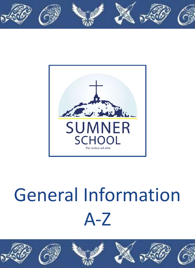



# General Information A-Z

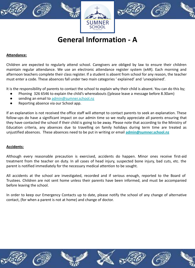



**General Information - A** 

#### **Attendance:**

Children are expected to regularly attend school. Caregivers are obliged by law to ensure their children maintain regular attendance. We use an electronic attendance register system (eAR). Each morning and afternoon teachers complete their class register. If a student is absent from school for any reason, the teacher must enter a code. These absences fall under two main categories ' explained' and 'unexplained'.

It is the responsibility of parents to contact the school to explain why their child is absent. You can do this by;

- Phoning 326 6546 to explain the child's whereabouts ([please leave a message before 8.30am)
- sending an email to [admin@sumner.school.nz](mailto:admin@sumner.school.nz)
- Reporting absence via our School app.

If an explanation is not received the office staff will attempt to contact parents to seek an explanation. These follow-ups do have a significant impact on our admin time so we really appreciate all parents ensuring that they have contacted the school if their child is going to be away. Please note that according to the Ministry of Education criteria, any absences due to travelling on family holidays during term time are treated as unjustified absences. These absences need to be put in writing or email **[admin@sumner.school.nz](mailto:admin@sumner.school.nz)**

## **Accidents:**

Although every reasonable precaution is exercised, accidents do happen. Minor ones receive first-aid treatment from the teacher on duty. In all cases of head injury, suspected bone injury, bad cuts, etc. the parent is notified immediately for the necessary medical attention to be sought.

All accidents at the school are investigated, recorded and if serious enough, reported to the Board of Trustees. Children are not sent home unless their parents have been informed, and must be accompanied before leaving the school.

In order to keep our Emergency Contacts up to date, please notify the school of any change of alternative contact, (for when a parent is not at home) and change of doctor.

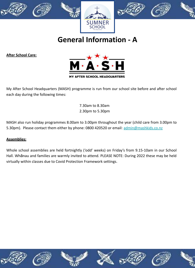







**General Information - A** 

**After School Care:**



My After School Headquarters (MASH) programme is run from our school site before and after school each day during the following times:

> 7.30am to 8.30am 2.30pm to 5.30pm

MASH also run holiday programmes 8.00am to 3.00pm throughout the year (child care from 3.00pm to 5.30pm). Please contact them either by phone: 0800 420520 or email: [admin@mashkids.co.nz](mailto:admin@mashkids.co.nz)

## **Assemblies:**

Whole school assemblies are held fortnightly ('odd' weeks) on Friday's from 9.15-10am in our School Hall. Whānau and families are warmly invited to attend. PLEASE NOTE: During 2022 these may be held virtually within classes due to Covid Protection Framework settings.

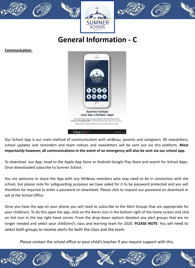







**General Information - C** 

**Communication**:



Our School App is our main method of communication with whānau, parents and caregivers. All newsletters, school updates and reminders and team notices and newsletters will be sent out via this platform. **Most importantly however, all communications in the event of an emergency will also be sent via our school app.** 

To download our App, head to the Apple App Store or Android Google Play Store and search for School Apps. Once downloaded subscribe to Sumner School.

You are welcome to share the App with any Whānau members who may need to be in connection with the school, but please note for safeguarding purposes we have asked for it to be password protected and you will therefore be required to enter a password on download. Please click to request our password on download or ask at the School Office.

Once you have the app on your phone you will need to subscribe to the Alert Groups that are appropriate for your child(ren). To do this open the app, click on the Alerts icon in the bottom right of the home screen and click on tick icon in the top right hand corner. From the drop down options deselect any alert groups that are no longer needed and select your child(ren)'s class and learning team for 2020. **PLEASE NOTE**: You will need to select both groups to receive alerts for both the class and the team.

Please contact the school office or your child's teacher if you require support with this.

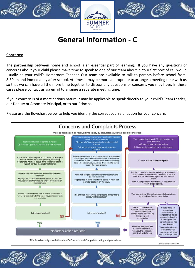

**General Information - C** 

#### **Concerns:**

The partnership between home and school is an essential part of learning. If you have any questions or concerns about your child please make time to speak to one of our team about it. Your first port of call would usually be your child's Homeroom Teacher. Our team are available to talk to parents before school from 8:30am and immediately after school. At times it may be more appropriate to arrange a meeting time with us so that we can have a little more time together to discuss any questions or concerns you may have. In these cases please contact us via email to arrange a separate meeting time.

If your concern is of a more serious nature it may be applicable to speak directly to your child's Team Leader, our Deputy or Associate Principal, or to our Principal.

Please use the flowchart below to help you identify the correct course of action for your concern.

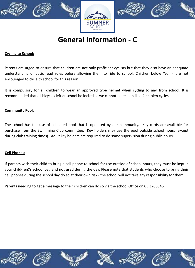

# **General Information - C**

## **Cycling to School:**

Parents are urged to ensure that children are not only proficient cyclists but that they also have an adequate understanding of basic road rules before allowing them to ride to school. Children below Year 4 are not encouraged to cycle to school for this reason.

It is compulsory for all children to wear an approved type helmet when cycling to and from school. It is recommended that all bicycles left at school be locked as we cannot be responsible for stolen cycles.

## **Community Pool:**

The school has the use of a heated pool that is operated by our community. Key cards are available for purchase from the Swimming Club committee. Key holders may use the pool outside school hours (except during club training times). Adult key holders are required to do some supervision during public hours.

## **Cell Phones:**

If parents wish their child to bring a cell phone to school for use outside of school hours, they must be kept in your child(ren)'s school bag and not used during the day. Please note that students who choose to bring their cell phones during the school day do so at their own risk - the school will not take any responsibility for them.

Parents needing to get a message to their children can do so via the school Office on 03 3266546.

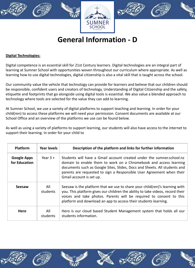

# **General Information - D**

## **Digital Technologies:**

Digital competence is an essential skill for 21st Century learners. Digital technologies are an integral part of learning at Sumner School with opportunities woven throughout our curriculum where appropriate. As well as learning how to use digital technologies, digital citizenship is also a vital skill that is taught across the school.

Our community value the vehicle that technology can provide for learners and believe that our children should be responsible, confident users and creators of technology. Understanding of Digital Citizenship and the safety, etiquette and footprints that go alongside using digital tools is essential. We also value a blended approach to technology where tools are selected for the value they can add to learning.

At Sumner School, we use a variety of digital platforms to support teaching and learning. In order for your child(ren) to access these platforms we will need your permission. Consent documents are available at our School Office and an overview of the platforms we use can be found below.

As well as using a variety of platforms to support learning, our students will also have access to the internet to support their learning. In order for your child to

| <b>Platform</b>                     | <b>Year levels</b> | Description of the platform and links for further information                                                                                                                                                                                                                                                                |
|-------------------------------------|--------------------|------------------------------------------------------------------------------------------------------------------------------------------------------------------------------------------------------------------------------------------------------------------------------------------------------------------------------|
| <b>Google Apps</b><br>for Education | Year $3 +$         | Students will have a Gmail account created under the sumner.school.nz<br>domain to enable them to work on a Chromebook and access learning<br>documents such as Google Sites, Slides, Docs and Sheets. All students and<br>parents are requested to sign a Responsible User Agreement when their<br>Gmail account is set up. |
| Seesaw                              | All<br>students    | Seesaw is the platform that we use to share your child (ren)'s learning with<br>you. This platform gives our children the ability to take videos, record their<br>voices and take photos. Parents will be required to consent to this<br>platform and download an app to access their students learning.                     |
| <b>Hero</b>                         | All<br>students    | Hero is our cloud based Student Management system that holds all our<br>students information.                                                                                                                                                                                                                                |











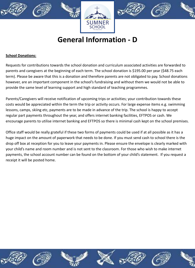





# **General Information - D**

## **School Donations:**

Requests for contributions towards the school donation and curriculum associated activities are forwarded to parents and caregivers at the beginning of each term. The school donation is \$195.00 per year (\$48.75 each term). Please be aware that this is a donation and therefore parents are not obligated to pay. School donations however, are an important component in the school's fundraising and without them we would not be able to provide the same level of learning support and high standard of teaching programmes.

Parents/Caregivers will receive notification of upcoming trips or activities; your contribution towards these costs would be appreciated within the term the trip or activity occurs. For large expense items e.g. swimming lessons, camps, skiing etc, payments are to be made in advance of the trip. The school is happy to accept regular part payments throughout the year, and offers internet banking facilities, EFTPOS or cash. We encourage parents to utilise internet banking and EFTPOS so there is minimal cash kept on the school premises.

Office staff would be really grateful if these two forms of payments could be used if at all possible as it has a huge impact on the amount of paperwork that needs to be done. If you must send cash to school there is the drop off box at reception for you to leave your payments in. Please ensure the envelope is clearly marked with your child's name and room number and is not sent to the classroom. For those who wish to make internet payments, the school account number can be found on the bottom of your child's statement. If you request a receipt it will be posted home.

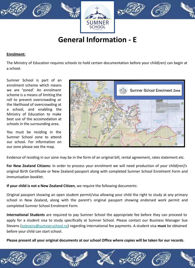

# **General Information - E**

## **Enrolment:**

The Ministry of Education requires schools to hold certain documentation before your child(ren) can begin at a school.

Sumner School is part of an enrolment scheme which means we are 'zoned'. An enrolment scheme is a means of limiting the roll to prevent overcrowding or the likelihood of overcrowding at a school, and enabling the Ministry of Education to make best use of the accomodation at schools in the surrounding area.

You must be residing in the Sumner School zone to attend our school. For information on our zone please see the map.



Evidence of residing in our zone may be in the form of an original bill, rental agreement, rates statement etc.

**For New Zealand Citizens:** In order to process your enrolment we will need production of your child(ren)'s original Birth Certificate or New Zealand passport along with completed Sumner School Enrolment Form and immunisation booklet.

**If your child is not a New Zealand Citizen**, we require the following documents:

Original passport showing an open student permit/visa allowing your child the right to study at any primary school in New Zealand, along with the parent's original passport showing endorsed work permit and completed Sumner School Enrolment Form.

**International Students** are required to pay Sumner School the appropriate fee before they can proceed to apply for a student visa to study specifically at Sumner School. Please contact our Business Manager Sue Stevens ([sstevens@sumner.school.nz](mailto:sstevens@sumner.school.nz)) regarding international fee payments. A student visa **must** be obtained before your child can start school.

**Please present all your original documents at our school Office where copies will be taken for our records**.

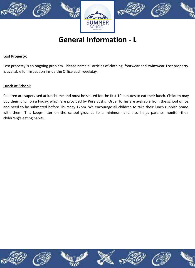

**General Information - L** 

#### **Lost Property:**

Lost property is an ongoing problem. Please name all articles of clothing, footwear and swimwear. Lost property is available for inspection inside the Office each weekday.

#### **Lunch at School:**

Children are supervised at lunchtime and must be seated for the first 10 minutes to eat their lunch. Children may buy their lunch on a Friday, which are provided by Pure Sushi. Order forms are available from the school office and need to be submitted before Thursday 12pm. We encourage all children to take their lunch rubbish home with them. This keeps litter on the school grounds to a minimum and also helps parents monitor their child(ren)'s eating habits.













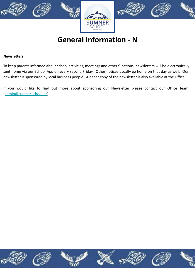

**General Information - N** 

#### **Newsletters:**

To keep parents informed about school activities, meetings and other functions, newsletters will be electronically sent home via our School App on every second Friday. Other notices usually go home on that day as well. Our newsletter is sponsored by local business people. A paper copy of the newsletter is also available at the Office.

If you would like to find out more about sponsoring our Newsletter please contact our Office Team ([admin@sumner.school.nz](mailto:admin@sumner.school.nz))

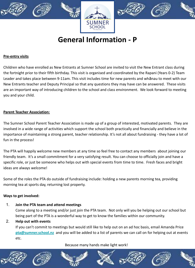





**General Information - P** 

#### **Pre-entry visits**

Children who have enrolled as New Entrants at Sumner School are invited to visit the New Entrant class during the fortnight prior to their fifth birthday. This visit is organised and coordinated by the Rapani (Years 0-2) Team Leader and takes place between 9-11am. This visit includes time for new parents and whānau to meet with our New Entrants teacher and Deputy Principal so that any questions they may have can be answered. These visits are an important way of introducing children to the school and class environment. We look forward to meeting you and your child.

#### **Parent Teacher Association:**

The Sumner School Parent Teacher Association is made up of a group of interested, motivated parents. They are involved in a wide range of activities which support the school both practically and financially and believe in the importance of maintaining a strong parent, teacher relationship. It's not all about fundraising - they have a lot of fun in the process!

The PTA will happily welcome new members at any time so feel free to contact any members about joining our friendly team. It's a small commitment for a very satisfying result. You can choose to officially join and have a specific role, or just be someone who helps out with special events from time to time. Fresh faces and bright ideas are always welcome!

Some of the roles the PTA do outside of fundraising include: holding a new parents morning tea, providing morning tea at sports day, returning lost property.

#### **Ways to get involved:**

## 1. **Join the PTA team and attend meetings**

Come along to a meeting and/or just join the PTA team. Not only will you be helping out our school but being part of the PTA is a wonderful way to get to know the families within our community.

## 2. **Help out with events**

If you can't commit to meetings but would still like to help out on an ad hoc basis, email Amanda Price **[pta@sumner.school.nz](mailto:pta@sumner.school.nz)** and you will be added to a list of parents we can call on for helping out at events etc.

## Because many hands make light work!

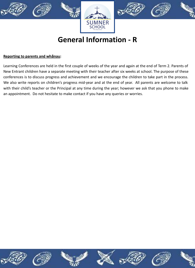

# **General Information - R**

#### **Reporting to parents and whānau:**

Learning Conferences are held in the first couple of weeks of the year and again at the end of Term 2. Parents of New Entrant children have a separate meeting with their teacher after six weeks at school. The purpose of these conferences is to discuss progress and achievement and we encourage the children to take part in the process. We also write reports on children's progress mid-year and at the end of year. All parents are welcome to talk with their child's teacher or the Principal at any time during the year; however we ask that you phone to make an appointment. Do not hesitate to make contact if you have any queries or worries.

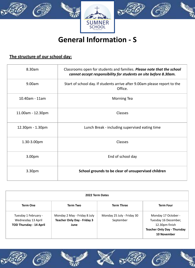

# **General Information - S**

## **The structure of our school day:**

| 8.30am             | Classrooms open for students and families. Please note that the school<br>cannot accept responsibility for students on site before 8.30am. |  |
|--------------------|--------------------------------------------------------------------------------------------------------------------------------------------|--|
| 9.00am             | Start of school day. If students arrive after 9.00am please report to the<br>Office.                                                       |  |
| 10.40am - 11am     | <b>Morning Tea</b>                                                                                                                         |  |
| 11.00am - 12.30pm  | Classes                                                                                                                                    |  |
| 12.30pm - 1.30pm   | Lunch Break - including supervised eating time                                                                                             |  |
| 1.30-3.00pm        | Classes                                                                                                                                    |  |
| 3.00pm             | End of school day                                                                                                                          |  |
| 3.30 <sub>pm</sub> | School grounds to be clear of unsupervised children                                                                                        |  |

| 2022 Term Dates                                                              |                                                                            |                                         |                                                                                                                    |
|------------------------------------------------------------------------------|----------------------------------------------------------------------------|-----------------------------------------|--------------------------------------------------------------------------------------------------------------------|
| Term One                                                                     | Term Two                                                                   | <b>Term Three</b>                       | <b>Term Four</b>                                                                                                   |
| Tuesday 1 February -<br>Wednesday 13 April<br><b>TOD Thursday - 14 April</b> | Monday 2 May - Friday 8 July<br><b>Teacher Only Day - Friday 3</b><br>June | Monday 25 July - Friday 30<br>September | Monday 17 October -<br>Tuesday 16 December,<br>12.30pm finish<br><b>Teacher Only Day - Thursday</b><br>10 November |









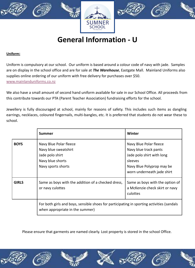





**General Information - U** 

#### **Uniform:**

Uniform is compulsory at our school. Our uniform is based around a colour code of navy with jade. Samples are on display in the school office and are for sale at *The Warehouse*, Eastgate Mall. Mainland Uniforms also supplies online ordering of our uniform with free delivery for purchases over \$50. [www.mainlanduniforms.co.nz](http://www.mainlanduniforms.co.nz)

We also have a small amount of second hand uniform available for sale in our School Office. All proceeds from this contribute towards our PTA (Parent Teacher Association) fundraising efforts for the school.

Jewellery is fully discouraged at school, mainly for reasons of safety. This includes such items as dangling earrings, necklaces, coloured fingernails, multi-bangles, etc. It is preferred that students do not wear these to school.

|              | Summer                                                                                                                       | Winter                                                                                                                                             |
|--------------|------------------------------------------------------------------------------------------------------------------------------|----------------------------------------------------------------------------------------------------------------------------------------------------|
| <b>BOYS</b>  | Navy Blue Polar fleece<br>Navy blue sweatshirt<br>Jade polo shirt<br>Navy blue shorts<br>Navy sports shorts                  | Navy Blue Polar fleece<br>Navy blue track pants<br>Jade polo shirt with long<br>sleeves<br>Navy Blue Polyprop may be<br>worn underneath jade shirt |
| <b>GIRLS</b> | Same as boys with the addition of a checked dress,<br>or navy culottes                                                       | Same as boys with the option of<br>a McKenzie check skirt or navy<br>culottes                                                                      |
|              | For both girls and boys, sensible shoes for participating in sporting activities (sandals<br>when appropriate in the summer) |                                                                                                                                                    |

Please ensure that garments are named clearly. Lost property is stored in the school Office.









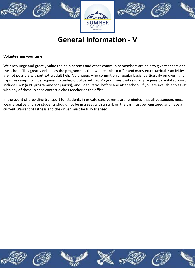

# **General Information - V**

#### **Volunteering your time:**

We encourage and greatly value the help parents and other community members are able to give teachers and the school. This greatly enhances the programmes that we are able to offer and many extracurricular activities are not possible without extra adult help. Volunteers who commit on a regular basis, particularly on overnight trips like camps, will be required to undergo police vetting. Programmes that regularly require parental support include PMP (a PE programme for juniors), and Road Patrol before and after school. If you are available to assist with any of these, please contact a class teacher or the office.

In the event of providing transport for students in private cars, parents are reminded that all passengers must wear a seatbelt, junior students should not be in a seat with an airbag, the car must be registered and have a current Warrant of Fitness and the driver must be fully licensed.